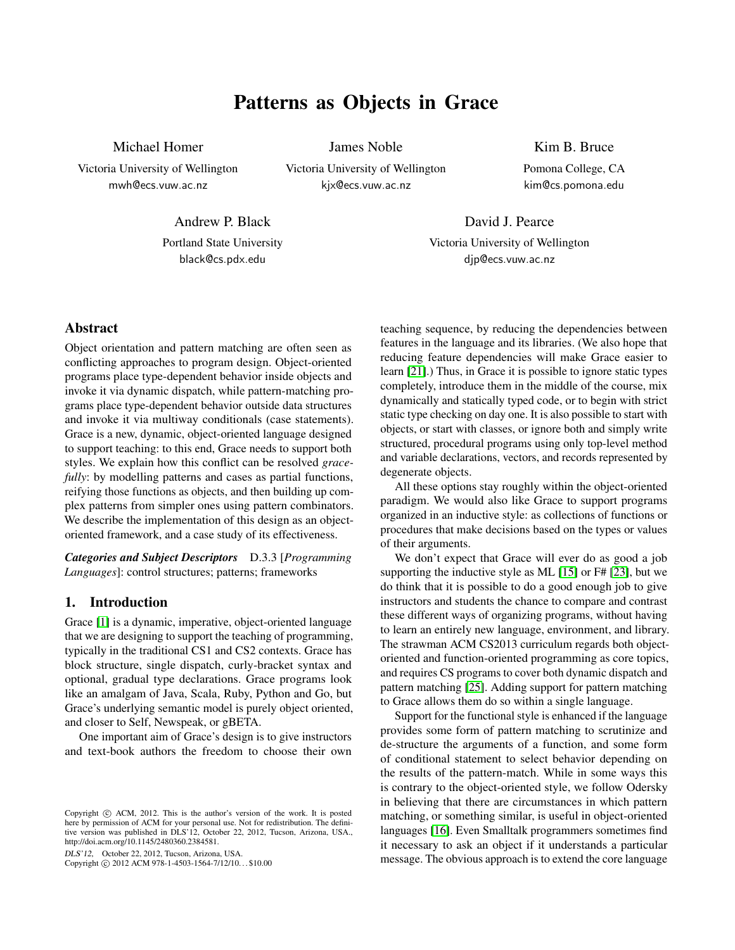# Patterns as Objects in Grace

Michael Homer

Victoria University of Wellington mwh@ecs.vuw.ac.nz

Victoria University of Wellington kjx@ecs.vuw.ac.nz

James Noble

Kim B. Bruce Pomona College, CA kim@cs.pomona.edu

Andrew P. Black Portland State University

Victoria University of Wellington djp@ecs.vuw.ac.nz

David J. Pearce

# black@cs.pdx.edu

# Abstract

Object orientation and pattern matching are often seen as conflicting approaches to program design. Object-oriented programs place type-dependent behavior inside objects and invoke it via dynamic dispatch, while pattern-matching programs place type-dependent behavior outside data structures and invoke it via multiway conditionals (case statements). Grace is a new, dynamic, object-oriented language designed to support teaching: to this end, Grace needs to support both styles. We explain how this conflict can be resolved *gracefully*: by modelling patterns and cases as partial functions, reifying those functions as objects, and then building up complex patterns from simpler ones using pattern combinators. We describe the implementation of this design as an objectoriented framework, and a case study of its effectiveness.

*Categories and Subject Descriptors* D.3.3 [*Programming Languages*]: control structures; patterns; frameworks

# 1. Introduction

Grace [\[1\]](#page-11-0) is a dynamic, imperative, object-oriented language that we are designing to support the teaching of programming, typically in the traditional CS1 and CS2 contexts. Grace has block structure, single dispatch, curly-bracket syntax and optional, gradual type declarations. Grace programs look like an amalgam of Java, Scala, Ruby, Python and Go, but Grace's underlying semantic model is purely object oriented, and closer to Self, Newspeak, or gBETA.

One important aim of Grace's design is to give instructors and text-book authors the freedom to choose their own

DLS'12, October 22, 2012, Tucson, Arizona, USA.

Copyright © 2012 ACM 978-1-4503-1564-7/12/10... \$10.00

teaching sequence, by reducing the dependencies between features in the language and its libraries. (We also hope that reducing feature dependencies will make Grace easier to learn [\[21\]](#page-11-1).) Thus, in Grace it is possible to ignore static types completely, introduce them in the middle of the course, mix dynamically and statically typed code, or to begin with strict static type checking on day one. It is also possible to start with objects, or start with classes, or ignore both and simply write structured, procedural programs using only top-level method and variable declarations, vectors, and records represented by degenerate objects.

All these options stay roughly within the object-oriented paradigm. We would also like Grace to support programs organized in an inductive style: as collections of functions or procedures that make decisions based on the types or values of their arguments.

We don't expect that Grace will ever do as good a job supporting the inductive style as ML [\[15\]](#page-11-2) or F# [\[23\]](#page-11-3), but we do think that it is possible to do a good enough job to give instructors and students the chance to compare and contrast these different ways of organizing programs, without having to learn an entirely new language, environment, and library. The strawman ACM CS2013 curriculum regards both objectoriented and function-oriented programming as core topics, and requires CS programs to cover both dynamic dispatch and pattern matching [\[25\]](#page-11-4). Adding support for pattern matching to Grace allows them do so within a single language.

Support for the functional style is enhanced if the language provides some form of pattern matching to scrutinize and de-structure the arguments of a function, and some form of conditional statement to select behavior depending on the results of the pattern-match. While in some ways this is contrary to the object-oriented style, we follow Odersky in believing that there are circumstances in which pattern matching, or something similar, is useful in object-oriented languages [\[16\]](#page-11-5). Even Smalltalk programmers sometimes find it necessary to ask an object if it understands a particular message. The obvious approach is to extend the core language

Copyright  $\odot$  ACM, 2012. This is the author's version of the work. It is posted here by permission of ACM for your personal use. Not for redistribution. The definitive version was published in DLS'12, October 22, 2012, Tucson, Arizona, USA., http://doi.acm.org/10.1145/2480360.2384581.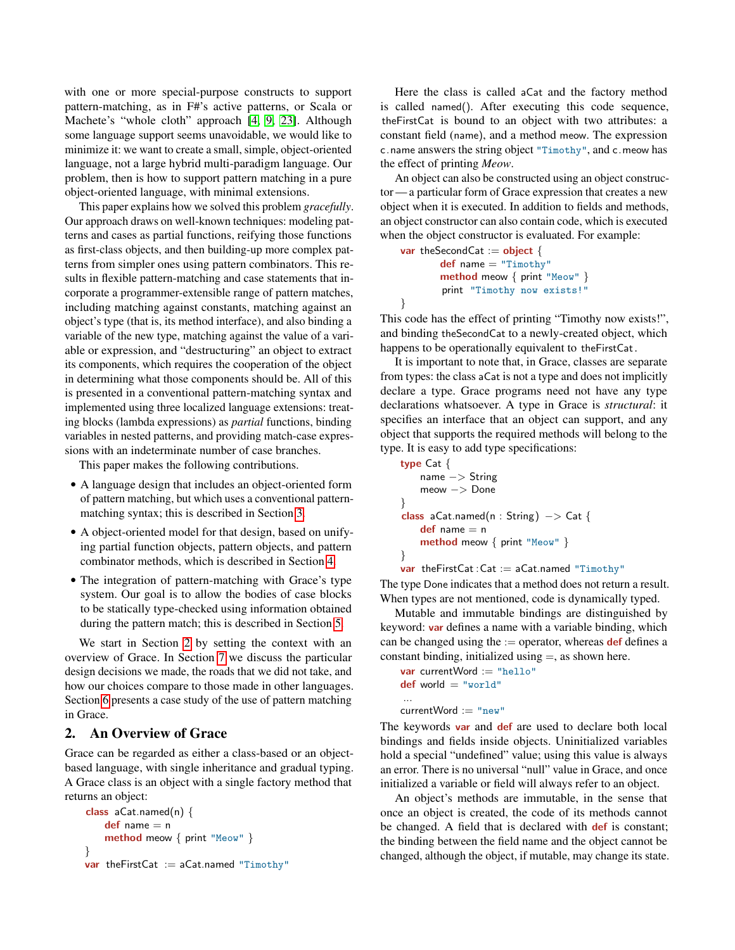with one or more special-purpose constructs to support pattern-matching, as in F#'s active patterns, or Scala or Machete's "whole cloth" approach [\[4,](#page-11-6) [9,](#page-11-7) [23\]](#page-11-3). Although some language support seems unavoidable, we would like to minimize it: we want to create a small, simple, object-oriented language, not a large hybrid multi-paradigm language. Our problem, then is how to support pattern matching in a pure object-oriented language, with minimal extensions.

This paper explains how we solved this problem *gracefully*. Our approach draws on well-known techniques: modeling patterns and cases as partial functions, reifying those functions as first-class objects, and then building-up more complex patterns from simpler ones using pattern combinators. This results in flexible pattern-matching and case statements that incorporate a programmer-extensible range of pattern matches, including matching against constants, matching against an object's type (that is, its method interface), and also binding a variable of the new type, matching against the value of a variable or expression, and "destructuring" an object to extract its components, which requires the cooperation of the object in determining what those components should be. All of this is presented in a conventional pattern-matching syntax and implemented using three localized language extensions: treating blocks (lambda expressions) as *partial* functions, binding variables in nested patterns, and providing match-case expressions with an indeterminate number of case branches.

This paper makes the following contributions.

- A language design that includes an object-oriented form of pattern matching, but which uses a conventional patternmatching syntax; this is described in Section [3.](#page-3-0)
- A object-oriented model for that design, based on unifying partial function objects, pattern objects, and pattern combinator methods, which is described in Section [4.](#page-3-1)
- The integration of pattern-matching with Grace's type system. Our goal is to allow the bodies of case blocks to be statically type-checked using information obtained during the pattern match; this is described in Section [5.](#page-7-0)

We start in Section [2](#page-1-0) by setting the context with an overview of Grace. In Section [7](#page-8-0) we discuss the particular design decisions we made, the roads that we did not take, and how our choices compare to those made in other languages. Section [6](#page-7-1) presents a case study of the use of pattern matching in Grace.

#### <span id="page-1-0"></span>2. An Overview of Grace

Grace can be regarded as either a class-based or an objectbased language, with single inheritance and gradual typing. A Grace class is an object with a single factory method that returns an object:

```
class aCat.named(n) {
   def name = nmethod meow { print "Meow" }
}
var theFirstCat := aCat.name "Timothy"
```
Here the class is called aCat and the factory method is called named(). After executing this code sequence, theFirstCat is bound to an object with two attributes: a constant field (name), and a method meow. The expression c.name answers the string object "Timothy", and c.meow has the effect of printing *Meow*.

An object can also be constructed using an object constructor — a particular form of Grace expression that creates a new object when it is executed. In addition to fields and methods, an object constructor can also contain code, which is executed when the object constructor is evaluated. For example:

var theSecondCat  $:=$  object { def name = "Timothy" method meow { print "Meow" } print "Timothy now exists!" }

This code has the effect of printing "Timothy now exists!", and binding theSecondCat to a newly-created object, which happens to be operationally equivalent to theFirstCat.

It is important to note that, in Grace, classes are separate from types: the class aCat is not a type and does not implicitly declare a type. Grace programs need not have any type declarations whatsoever. A type in Grace is *structural*: it specifies an interface that an object can support, and any object that supports the required methods will belong to the type. It is easy to add type specifications:

```
type Cat {
   name −> String
   meow −> Done
}
class aCat.named(n : String) -> Cat {
   def name = nmethod meow { print "Meow" }
}
var theFirstCat: Cat := aCat.name "Timothy"
```
The type Done indicates that a method does not return a result. When types are not mentioned, code is dynamically typed.

Mutable and immutable bindings are distinguished by keyword: var defines a name with a variable binding, which can be changed using the  $:=$  operator, whereas **def** defines a constant binding, initialized using  $=$ , as shown here.

```
var currentWord := "hello"
def world = "world"
...
currentWord := "new"
```
The keywords var and def are used to declare both local bindings and fields inside objects. Uninitialized variables hold a special "undefined" value; using this value is always an error. There is no universal "null" value in Grace, and once initialized a variable or field will always refer to an object.

An object's methods are immutable, in the sense that once an object is created, the code of its methods cannot be changed. A field that is declared with **def** is constant; the binding between the field name and the object cannot be changed, although the object, if mutable, may change its state.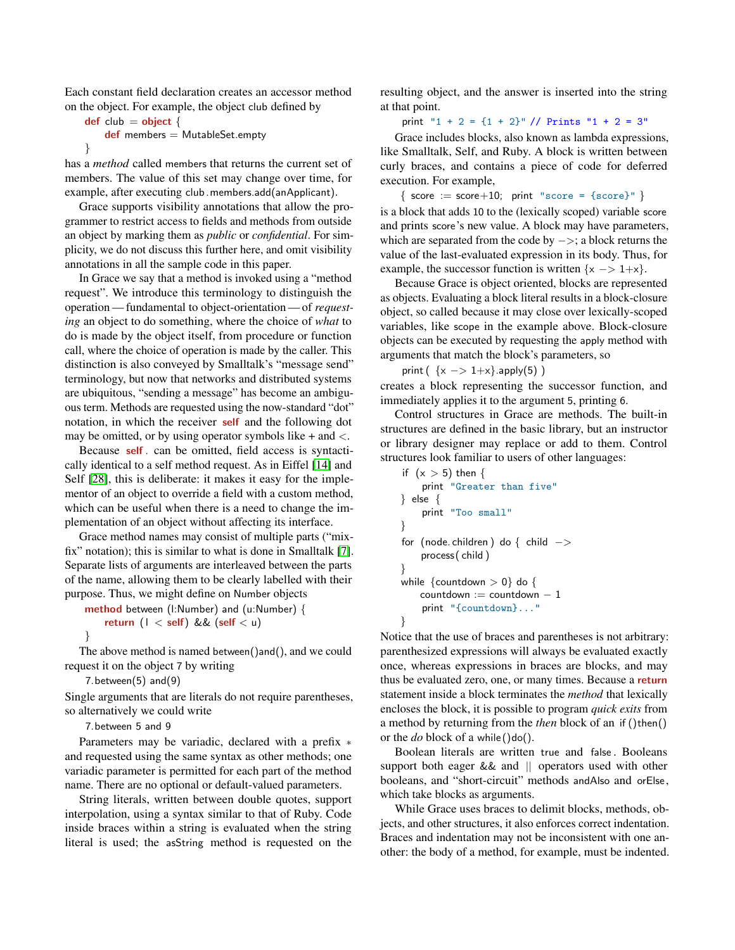Each constant field declaration creates an accessor method on the object. For example, the object club defined by

```
def club = object {
    def members = MutableSet.empty
}
```
has a *method* called members that returns the current set of members. The value of this set may change over time, for example, after executing club.members.add(anApplicant).

Grace supports visibility annotations that allow the programmer to restrict access to fields and methods from outside an object by marking them as *public* or *confidential*. For simplicity, we do not discuss this further here, and omit visibility annotations in all the sample code in this paper.

In Grace we say that a method is invoked using a "method request". We introduce this terminology to distinguish the operation — fundamental to object-orientation— of *requesting* an object to do something, where the choice of *what* to do is made by the object itself, from procedure or function call, where the choice of operation is made by the caller. This distinction is also conveyed by Smalltalk's "message send" terminology, but now that networks and distributed systems are ubiquitous, "sending a message" has become an ambiguous term. Methods are requested using the now-standard "dot" notation, in which the receiver self and the following dot may be omitted, or by using operator symbols like  $+$  and  $<$ .

Because self . can be omitted, field access is syntactically identical to a self method request. As in Eiffel [\[14\]](#page-11-8) and Self [\[28\]](#page-11-9), this is deliberate: it makes it easy for the implementor of an object to override a field with a custom method, which can be useful when there is a need to change the implementation of an object without affecting its interface.

Grace method names may consist of multiple parts ("mix-fix" notation); this is similar to what is done in Smalltalk [\[7\]](#page-11-10). Separate lists of arguments are interleaved between the parts of the name, allowing them to be clearly labelled with their purpose. Thus, we might define on Number objects

method between (l:Number) and (u:Number) {

```
return (1 < self) && (self < u)
```

```
}
```
The above method is named between()and(), and we could request it on the object 7 by writing

7.between(5) and(9)

Single arguments that are literals do not require parentheses, so alternatively we could write

7.between 5 and 9

Parameters may be variadic, declared with a prefix ∗ and requested using the same syntax as other methods; one variadic parameter is permitted for each part of the method name. There are no optional or default-valued parameters.

String literals, written between double quotes, support interpolation, using a syntax similar to that of Ruby. Code inside braces within a string is evaluated when the string literal is used; the asString method is requested on the resulting object, and the answer is inserted into the string at that point.

print "1 + 2 =  $\{1 + 2\}$ " // Prints "1 + 2 = 3"

Grace includes blocks, also known as lambda expressions, like Smalltalk, Self, and Ruby. A block is written between curly braces, and contains a piece of code for deferred execution. For example,

```
\{ score := score + 10; print "score = {score}'} \}is a block that adds 10 to the (lexically scoped) variable score
and prints score's new value. A block may have parameters,
which are separated from the code by \rightarrow; a block returns the
value of the last-evaluated expression in its body. Thus, for
example, the successor function is written \{x \rightarrow 1+x\}.
```
Because Grace is object oriented, blocks are represented as objects. Evaluating a block literal results in a block-closure object, so called because it may close over lexically-scoped variables, like scope in the example above. Block-closure objects can be executed by requesting the apply method with arguments that match the block's parameters, so

print ( $\{x \rightarrow 1+x\}$ .apply(5))

creates a block representing the successor function, and immediately applies it to the argument 5, printing 6.

Control structures in Grace are methods. The built-in structures are defined in the basic library, but an instructor or library designer may replace or add to them. Control structures look familiar to users of other languages:

```
if (x > 5) then {
    print "Greater than five"
} else {
    print "Too small"
}
for (node. children ) do \{ child ->process( child )
}
while \{countdown > 0\} do \{countdown := countdown − 1
    print "{countdown}..."
}
```
Notice that the use of braces and parentheses is not arbitrary: parenthesized expressions will always be evaluated exactly once, whereas expressions in braces are blocks, and may thus be evaluated zero, one, or many times. Because a return statement inside a block terminates the *method* that lexically encloses the block, it is possible to program *quick exits* from a method by returning from the *then* block of an if ()then() or the *do* block of a while ()do().

Boolean literals are written true and false . Booleans support both eager && and || operators used with other booleans, and "short-circuit" methods andAlso and orElse, which take blocks as arguments.

While Grace uses braces to delimit blocks, methods, objects, and other structures, it also enforces correct indentation. Braces and indentation may not be inconsistent with one another: the body of a method, for example, must be indented.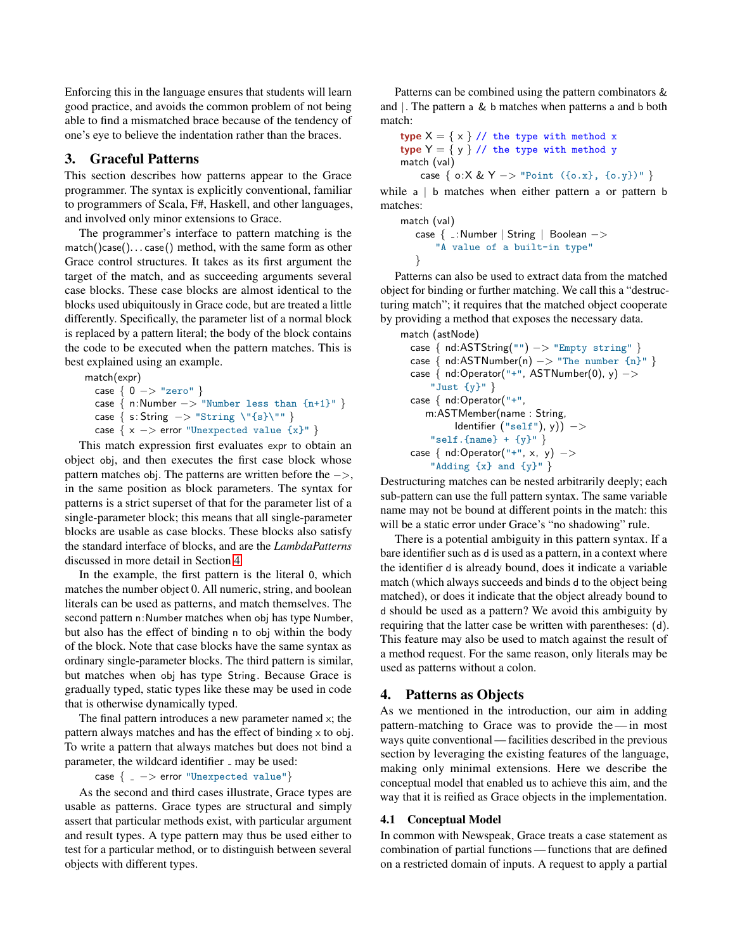Enforcing this in the language ensures that students will learn good practice, and avoids the common problem of not being able to find a mismatched brace because of the tendency of one's eye to believe the indentation rather than the braces.

# <span id="page-3-0"></span>3. Graceful Patterns

This section describes how patterns appear to the Grace programmer. The syntax is explicitly conventional, familiar to programmers of Scala, F#, Haskell, and other languages, and involved only minor extensions to Grace.

The programmer's interface to pattern matching is the match()case(). . . case() method, with the same form as other Grace control structures. It takes as its first argument the target of the match, and as succeeding arguments several case blocks. These case blocks are almost identical to the blocks used ubiquitously in Grace code, but are treated a little differently. Specifically, the parameter list of a normal block is replaced by a pattern literal; the body of the block contains the code to be executed when the pattern matches. This is best explained using an example.

```
match(expr)
  case { 0 −> "zero" }
  case \{ n:\textsf{Number} \Longrightarrow \textsf{``Number less than } \{n+1\} \textsf{''} \}case { s: String -> "String \"{s}\"" }
  case \{ x \rightarrow error "Unexpected value \{x\}" }
```
This match expression first evaluates expr to obtain an object obj, and then executes the first case block whose pattern matches obj. The patterns are written before the −>, in the same position as block parameters. The syntax for patterns is a strict superset of that for the parameter list of a single-parameter block; this means that all single-parameter blocks are usable as case blocks. These blocks also satisfy the standard interface of blocks, and are the *LambdaPatterns* discussed in more detail in Section [4.](#page-3-1)

In the example, the first pattern is the literal 0, which matches the number object 0. All numeric, string, and boolean literals can be used as patterns, and match themselves. The second pattern n: Number matches when obj has type Number, but also has the effect of binding n to obj within the body of the block. Note that case blocks have the same syntax as ordinary single-parameter blocks. The third pattern is similar, but matches when obj has type String. Because Grace is gradually typed, static types like these may be used in code that is otherwise dynamically typed.

The final pattern introduces a new parameter named  $x$ ; the pattern always matches and has the effect of binding  $\times$  to obj. To write a pattern that always matches but does not bind a parameter, the wildcard identifier  $\Box$  may be used:

case  $\{-\rangle$  error "Unexpected value"}

As the second and third cases illustrate, Grace types are usable as patterns. Grace types are structural and simply assert that particular methods exist, with particular argument and result types. A type pattern may thus be used either to test for a particular method, or to distinguish between several objects with different types.

Patterns can be combined using the pattern combinators & and |. The pattern a & b matches when patterns a and b both match:

```
type X = \{ x \} // the type with method x
type Y = \{ y \} // the type with method y
match (val)
    case \{ o:X & Y \rightarrow "Point (\{o.x\}, \{o.y\})" \}
```
while a | b matches when either pattern a or pattern b matches:

```
match (val)
   case { _:Number | String | Boolean −>
       "A value of a built-in type"
   }
```
Patterns can also be used to extract data from the matched object for binding or further matching. We call this a "destructuring match"; it requires that the matched object cooperate by providing a method that exposes the necessary data.

```
match (astNode)
 case { nd:ASTString("") −> "Empty string" }
 case { nd:ASTNumber(n) -> "The number {n}" }
 case \{ nd:Operator("+", ASTNumber(0), y) ->"Just {y}" }
 case { nd:Operator("+",
    m:ASTMember(name : String,
          Identifier ("self"), y)) ->"self.{name} + \{y\}" }
 case { nd:Operator("++", x, y) ->
     "Adding \{x\} and \{y\}" }
```
Destructuring matches can be nested arbitrarily deeply; each sub-pattern can use the full pattern syntax. The same variable name may not be bound at different points in the match: this will be a static error under Grace's "no shadowing" rule.

There is a potential ambiguity in this pattern syntax. If a bare identifier such as d is used as a pattern, in a context where the identifier d is already bound, does it indicate a variable match (which always succeeds and binds d to the object being matched), or does it indicate that the object already bound to d should be used as a pattern? We avoid this ambiguity by requiring that the latter case be written with parentheses: (d). This feature may also be used to match against the result of a method request. For the same reason, only literals may be used as patterns without a colon.

# <span id="page-3-1"></span>4. Patterns as Objects

As we mentioned in the introduction, our aim in adding pattern-matching to Grace was to provide the— in most ways quite conventional — facilities described in the previous section by leveraging the existing features of the language, making only minimal extensions. Here we describe the conceptual model that enabled us to achieve this aim, and the way that it is reified as Grace objects in the implementation.

#### 4.1 Conceptual Model

In common with Newspeak, Grace treats a case statement as combination of partial functions — functions that are defined on a restricted domain of inputs. A request to apply a partial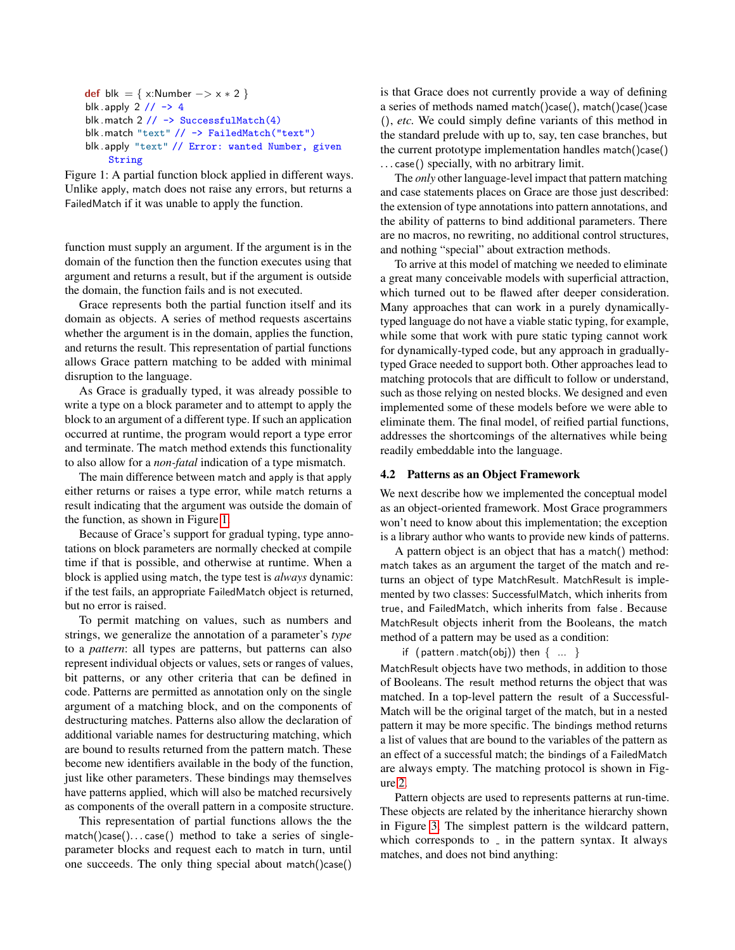```
def blk = {x:Number -> x * 2}
blk .apply 2 // \rightarrow 4
blk .match 2 // -> SuccessfulMatch(4)
blk .match "text" // -> FailedMatch("text")
blk .apply "text" // Error: wanted Number, given
    String
```
<span id="page-4-0"></span>Figure 1: A partial function block applied in different ways. Unlike apply, match does not raise any errors, but returns a FailedMatch if it was unable to apply the function.

function must supply an argument. If the argument is in the domain of the function then the function executes using that argument and returns a result, but if the argument is outside the domain, the function fails and is not executed.

Grace represents both the partial function itself and its domain as objects. A series of method requests ascertains whether the argument is in the domain, applies the function, and returns the result. This representation of partial functions allows Grace pattern matching to be added with minimal disruption to the language.

As Grace is gradually typed, it was already possible to write a type on a block parameter and to attempt to apply the block to an argument of a different type. If such an application occurred at runtime, the program would report a type error and terminate. The match method extends this functionality to also allow for a *non-fatal* indication of a type mismatch.

The main difference between match and apply is that apply either returns or raises a type error, while match returns a result indicating that the argument was outside the domain of the function, as shown in Figure [1.](#page-4-0)

Because of Grace's support for gradual typing, type annotations on block parameters are normally checked at compile time if that is possible, and otherwise at runtime. When a block is applied using match, the type test is *always* dynamic: if the test fails, an appropriate FailedMatch object is returned, but no error is raised.

To permit matching on values, such as numbers and strings, we generalize the annotation of a parameter's *type* to a *pattern*: all types are patterns, but patterns can also represent individual objects or values, sets or ranges of values, bit patterns, or any other criteria that can be defined in code. Patterns are permitted as annotation only on the single argument of a matching block, and on the components of destructuring matches. Patterns also allow the declaration of additional variable names for destructuring matching, which are bound to results returned from the pattern match. These become new identifiers available in the body of the function, just like other parameters. These bindings may themselves have patterns applied, which will also be matched recursively as components of the overall pattern in a composite structure.

This representation of partial functions allows the the  $match()case().case()$  method to take a series of singleparameter blocks and request each to match in turn, until one succeeds. The only thing special about match()case()

is that Grace does not currently provide a way of defining a series of methods named match()case(), match()case()case (), *etc.* We could simply define variants of this method in the standard prelude with up to, say, ten case branches, but the current prototype implementation handles match()case() . . . case() specially, with no arbitrary limit.

The *only* other language-level impact that pattern matching and case statements places on Grace are those just described: the extension of type annotations into pattern annotations, and the ability of patterns to bind additional parameters. There are no macros, no rewriting, no additional control structures, and nothing "special" about extraction methods.

To arrive at this model of matching we needed to eliminate a great many conceivable models with superficial attraction, which turned out to be flawed after deeper consideration. Many approaches that can work in a purely dynamicallytyped language do not have a viable static typing, for example, while some that work with pure static typing cannot work for dynamically-typed code, but any approach in graduallytyped Grace needed to support both. Other approaches lead to matching protocols that are difficult to follow or understand, such as those relying on nested blocks. We designed and even implemented some of these models before we were able to eliminate them. The final model, of reified partial functions, addresses the shortcomings of the alternatives while being readily embeddable into the language.

#### 4.2 Patterns as an Object Framework

We next describe how we implemented the conceptual model as an object-oriented framework. Most Grace programmers won't need to know about this implementation; the exception is a library author who wants to provide new kinds of patterns.

A pattern object is an object that has a match() method: match takes as an argument the target of the match and returns an object of type MatchResult. MatchResult is implemented by two classes: SuccessfulMatch, which inherits from true, and FailedMatch, which inherits from false . Because MatchResult objects inherit from the Booleans, the match method of a pattern may be used as a condition:

```
if (\text{pattern.match(obj)}) then \{ ... \}
```
MatchResult objects have two methods, in addition to those of Booleans. The result method returns the object that was matched. In a top-level pattern the result of a Successful-Match will be the original target of the match, but in a nested pattern it may be more specific. The bindings method returns a list of values that are bound to the variables of the pattern as an effect of a successful match; the bindings of a FailedMatch are always empty. The matching protocol is shown in Figure [2.](#page-5-0)

Pattern objects are used to represents patterns at run-time. These objects are related by the inheritance hierarchy shown in Figure [3,](#page-5-1) The simplest pattern is the wildcard pattern, which corresponds to  $\overline{\ }$  in the pattern syntax. It always matches, and does not bind anything: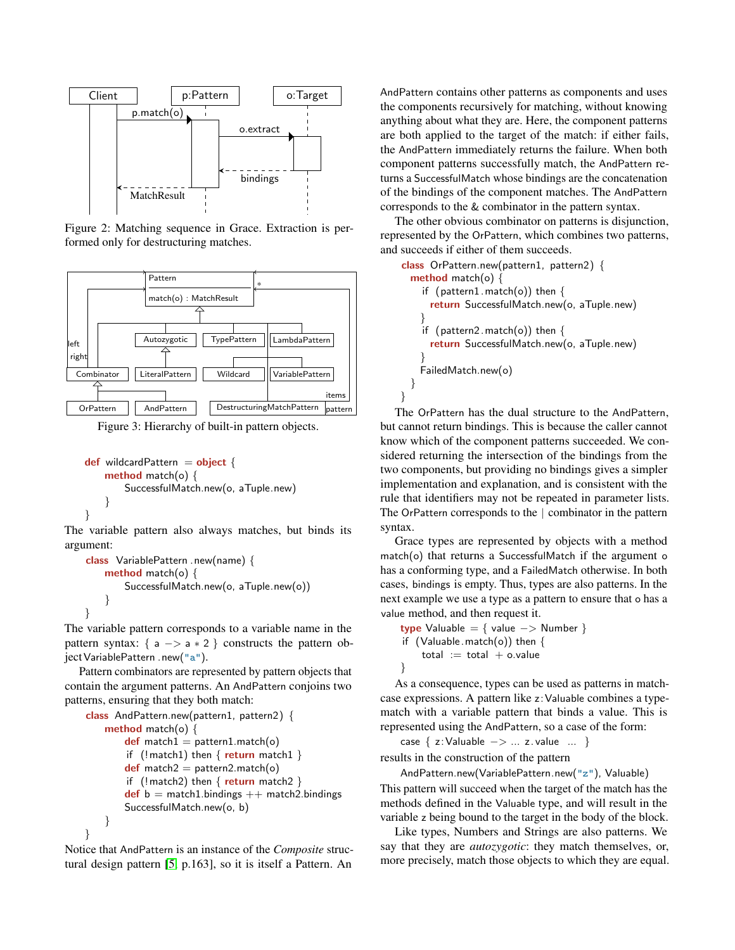

Figure 2: Matching sequence in Grace. Extraction is performed only for destructuring matches.



<span id="page-5-1"></span>Figure 3: Hierarchy of built-in pattern objects.

```
def wildcardPattern = object {
    method match(o) {
        SuccessfulMatch.new(o, aTuple.new)
    }
}
```
The variable pattern also always matches, but binds its argument:

```
class VariablePattern .new(name) {
   method match(o) {
        SuccessfulMatch.new(o, aTuple.new(o))
    }
}
```
The variable pattern corresponds to a variable name in the pattern syntax: {  $a \rightarrow a * 2$  } constructs the pattern object VariablePattern .new("a").

Pattern combinators are represented by pattern objects that contain the argument patterns. An AndPattern conjoins two patterns, ensuring that they both match:

```
class AndPattern.new(pattern1, pattern2) {
    method match(o) {
        def match1 = pattern1.match(o)if (!match1) then \{ return match1 \}def match2 = pattern2.match(o)
        if (!match2) then \{ return match2 \}def b = match1. bindings ++ match2. bindingsSuccessfulMatch.new(o, b)
    }
}
```
Notice that AndPattern is an instance of the *Composite* structural design pattern [\[5,](#page-11-11) p.163], so it is itself a Pattern. An

AndPattern contains other patterns as components and uses the components recursively for matching, without knowing anything about what they are. Here, the component patterns are both applied to the target of the match: if either fails, the AndPattern immediately returns the failure. When both component patterns successfully match, the AndPattern returns a SuccessfulMatch whose bindings are the concatenation of the bindings of the component matches. The AndPattern corresponds to the & combinator in the pattern syntax.

<span id="page-5-0"></span>The other obvious combinator on patterns is disjunction, represented by the OrPattern, which combines two patterns, and succeeds if either of them succeeds.

```
class OrPattern.new(pattern1, pattern2) {
  method match(o) {
    if (pattern1 . match(o)) then \{return SuccessfulMatch.new(o, aTuple.new)
    }
    if (\text{pattern2.match}(o)) then {
      return SuccessfulMatch.new(o, aTuple.new)
    }
    FailedMatch.new(o)
  }
}
```
The OrPattern has the dual structure to the AndPattern, but cannot return bindings. This is because the caller cannot know which of the component patterns succeeded. We considered returning the intersection of the bindings from the two components, but providing no bindings gives a simpler implementation and explanation, and is consistent with the rule that identifiers may not be repeated in parameter lists. The OrPattern corresponds to the | combinator in the pattern syntax.

Grace types are represented by objects with a method match(o) that returns a SuccessfulMatch if the argument o has a conforming type, and a FailedMatch otherwise. In both cases, bindings is empty. Thus, types are also patterns. In the next example we use a type as a pattern to ensure that o has a value method, and then request it.

```
type Valuable = \{ value -> Number \}if (Valuable.match(o)) then \{total := total + o.value
}
```
As a consequence, types can be used as patterns in matchcase expressions. A pattern like z:Valuable combines a typematch with a variable pattern that binds a value. This is represented using the AndPattern, so a case of the form:

```
case \{ z:Valuable -> \dots z. value \dots \}results in the construction of the pattern
```
AndPattern.new(VariablePattern.new("z"), Valuable) This pattern will succeed when the target of the match has the methods defined in the Valuable type, and will result in the variable z being bound to the target in the body of the block.

Like types, Numbers and Strings are also patterns. We say that they are *autozygotic*: they match themselves, or, more precisely, match those objects to which they are equal.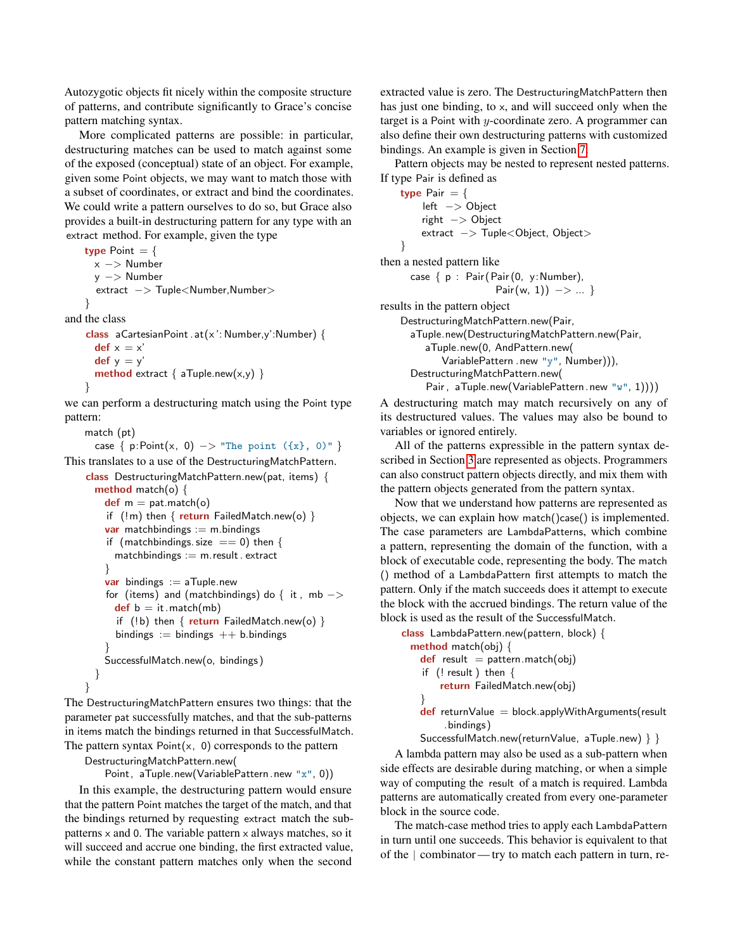Autozygotic objects fit nicely within the composite structure of patterns, and contribute significantly to Grace's concise pattern matching syntax.

More complicated patterns are possible: in particular, destructuring matches can be used to match against some of the exposed (conceptual) state of an object. For example, given some Point objects, we may want to match those with a subset of coordinates, or extract and bind the coordinates. We could write a pattern ourselves to do so, but Grace also provides a built-in destructuring pattern for any type with an extract method. For example, given the type

type Point  $=$  { x −> Number y −> Number extract −> Tuple<Number,Number> } and the class

```
class aCartesianPoint.at(x ': Number,y':Number) {
 def x = x'def y = y'method extract { aTuple.new(x,y) }
}
```
we can perform a destructuring match using the Point type pattern:

match (pt) case {  $p:Point(x, 0) \rightarrow "The point (\{x\}, 0)"$  }

This translates to a use of the DestructuringMatchPattern.

```
class DestructuringMatchPattern.new(pat, items) {
 method match(o) {
   def m = pat.match(o)if (lm) then \{ return FailedMatch.new(o) \}var matchbindings := m.bindings
    if (matchbindings size == 0) then {
     matchbindings := m.readt. extract}
    var bindings := aTuple.new
    for (items) and (matchbindings) do { it, mb ->def b = it.match(mb)if (1b) then \{ return FailedMatch.new(o) \}bindings := bindings ++ b.bindings
    }
   SuccessfulMatch.new(o, bindings)
 }
}
```
The DestructuringMatchPattern ensures two things: that the parameter pat successfully matches, and that the sub-patterns in items match the bindings returned in that SuccessfulMatch. The pattern syntax  $Point(x, 0)$  corresponds to the pattern

DestructuringMatchPattern.new(

Point, aTuple.new(VariablePattern.new "x", 0))

In this example, the destructuring pattern would ensure that the pattern Point matches the target of the match, and that the bindings returned by requesting extract match the subpatterns  $\times$  and 0. The variable pattern  $\times$  always matches, so it will succeed and accrue one binding, the first extracted value, while the constant pattern matches only when the second

extracted value is zero. The DestructuringMatchPattern then has just one binding, to x, and will succeed only when the target is a Point with y-coordinate zero. A programmer can also define their own destructuring patterns with customized bindings. An example is given in Section [7.](#page-8-0)

Pattern objects may be nested to represent nested patterns. If type Pair is defined as

```
type Pair = {
        left −> Object
        right −> Object
        extract −> Tuple<Object, Object>
then a nested pattern like
      case \{ p : \text{Pair}(Pair(0, y:Number)),Pair(w, 1)) -> ...}
```
results in the pattern object

}

DestructuringMatchPattern.new(Pair,

```
aTuple.new(DestructuringMatchPattern.new(Pair,
   aTuple.new(0, AndPattern.new(
      VariablePattern .new "y", Number))),
DestructuringMatchPattern.new(
   Pair, aTuple.new(VariablePattern.new "w", 1))))
```
A destructuring match may match recursively on any of its destructured values. The values may also be bound to variables or ignored entirely.

All of the patterns expressible in the pattern syntax described in Section [3](#page-3-0) are represented as objects. Programmers can also construct pattern objects directly, and mix them with the pattern objects generated from the pattern syntax.

Now that we understand how patterns are represented as objects, we can explain how match()case() is implemented. The case parameters are LambdaPatterns, which combine a pattern, representing the domain of the function, with a block of executable code, representing the body. The match () method of a LambdaPattern first attempts to match the pattern. Only if the match succeeds does it attempt to execute the block with the accrued bindings. The return value of the block is used as the result of the SuccessfulMatch.

```
class LambdaPattern.new(pattern, block) {
 method match(obj) {
   \text{def} result = pattern.match(obj)
    if (! result ) then \{return FailedMatch.new(obj)
    }
   \text{def} returnValue = block.applyWithArguments(result
         .bindings)
   SuccessfulMatch.new(returnValue, aTuple.new) } }
```
A lambda pattern may also be used as a sub-pattern when side effects are desirable during matching, or when a simple way of computing the result of a match is required. Lambda patterns are automatically created from every one-parameter block in the source code.

The match-case method tries to apply each LambdaPattern in turn until one succeeds. This behavior is equivalent to that of the | combinator— try to match each pattern in turn, re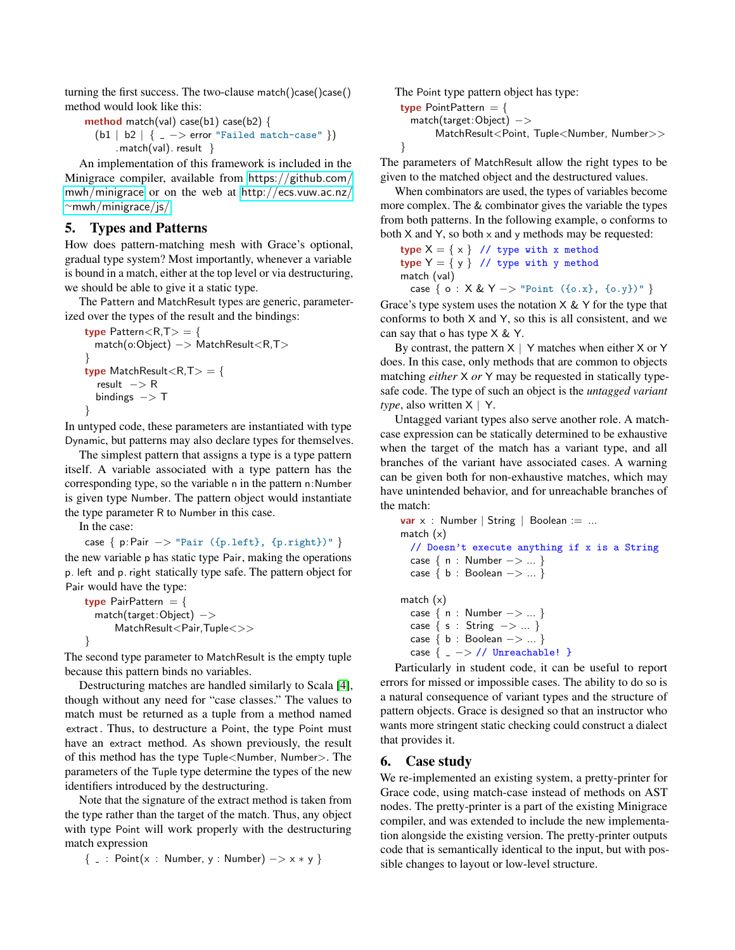turning the first success. The two-clause match()case()case() method would look like this:

```
method match(val) case(b1) case(b2) {
  (b1 | b2 | \{- > error "Failed match-case" })
      . match(val). result \}
```
An implementation of this framework is included in the Minigrace compiler, available from [https://github.com/](https://github.com/mwh/minigrace) [mwh/minigrace](https://github.com/mwh/minigrace) or on the web at [http://ecs.vuw.ac.nz/](http://ecs.vuw.ac.nz/~mwh/minigrace/js/) <sup>∼</sup>[mwh/minigrace/js/](http://ecs.vuw.ac.nz/~mwh/minigrace/js/).

# <span id="page-7-0"></span>5. Types and Patterns

How does pattern-matching mesh with Grace's optional, gradual type system? Most importantly, whenever a variable is bound in a match, either at the top level or via destructuring, we should be able to give it a static type.

The Pattern and MatchResult types are generic, parameterized over the types of the result and the bindings:

```
type Pattern\langle R, T \rangle = \{match(o:Object) −> MatchResult<R,T>
}
type MatchResult\langle R, T \rangle = \{result -> Rbindings -> T
}
```
In untyped code, these parameters are instantiated with type Dynamic, but patterns may also declare types for themselves.

The simplest pattern that assigns a type is a type pattern itself. A variable associated with a type pattern has the corresponding type, so the variable n in the pattern n:Number is given type Number. The pattern object would instantiate the type parameter R to Number in this case.

In the case:

```
case \{ p:Pair \rightarrow "Pair (\{p.left\}, \{p.right\})" \}
```
the new variable p has static type Pair, making the operations p. left and p. right statically type safe. The pattern object for Pair would have the type:

```
type PairPattern = {
  match(target:Object) −>
     MatchResult<Pair,Tuple<>>
}
```
The second type parameter to MatchResult is the empty tuple because this pattern binds no variables.

Destructuring matches are handled similarly to Scala [\[4\]](#page-11-6), though without any need for "case classes." The values to match must be returned as a tuple from a method named extract. Thus, to destructure a Point, the type Point must have an extract method. As shown previously, the result of this method has the type Tuple<Number, Number>. The parameters of the Tuple type determine the types of the new identifiers introduced by the destructuring.

Note that the signature of the extract method is taken from the type rather than the target of the match. Thus, any object with type Point will work properly with the destructuring match expression

 $\{ \_ : \mathsf{Point}(x : \mathsf{Number}, y : \mathsf{Number}) \implies x * y \}$ 

```
The Point type pattern object has type:
 type PointPattern = {
   match(target:Object) −>
        MatchResult<Point, Tuple<Number, Number>>
 }
```
The parameters of MatchResult allow the right types to be given to the matched object and the destructured values.

When combinators are used, the types of variables become more complex. The & combinator gives the variable the types from both patterns. In the following example, o conforms to both  $X$  and  $Y$ , so both  $x$  and  $y$  methods may be requested:

```
type X = \{ x \} // type with x method
type Y = \{ y \} // type with y method
match (val)
 case { o : X & Y −> "Point ({o.x}, {o.y})" }
```
Grace's type system uses the notation  $X \& Y$  for the type that conforms to both X and Y, so this is all consistent, and we can say that o has type X & Y.

By contrast, the pattern  $X \mid Y$  matches when either X or Y does. In this case, only methods that are common to objects matching *either* X *or* Y may be requested in statically typesafe code. The type of such an object is the *untagged variant type*, also written X | Y.

Untagged variant types also serve another role. A matchcase expression can be statically determined to be exhaustive when the target of the match has a variant type, and all branches of the variant have associated cases. A warning can be given both for non-exhaustive matches, which may have unintended behavior, and for unreachable branches of the match:

```
var x : Number | String | Boolean := ...
match (x)// Doesn't execute anything if x is a String
 case { n : Number −> ... }
 case { b : Boolean −> ... }
match (x)case { n : Number −> ... }
 case { s : String → ... }
 case { b : Boolean −> ... }
 case { −> // Unreachable! }
```
Particularly in student code, it can be useful to report errors for missed or impossible cases. The ability to do so is a natural consequence of variant types and the structure of pattern objects. Grace is designed so that an instructor who wants more stringent static checking could construct a dialect that provides it.

# <span id="page-7-1"></span>6. Case study

We re-implemented an existing system, a pretty-printer for Grace code, using match-case instead of methods on AST nodes. The pretty-printer is a part of the existing Minigrace compiler, and was extended to include the new implementation alongside the existing version. The pretty-printer outputs code that is semantically identical to the input, but with possible changes to layout or low-level structure.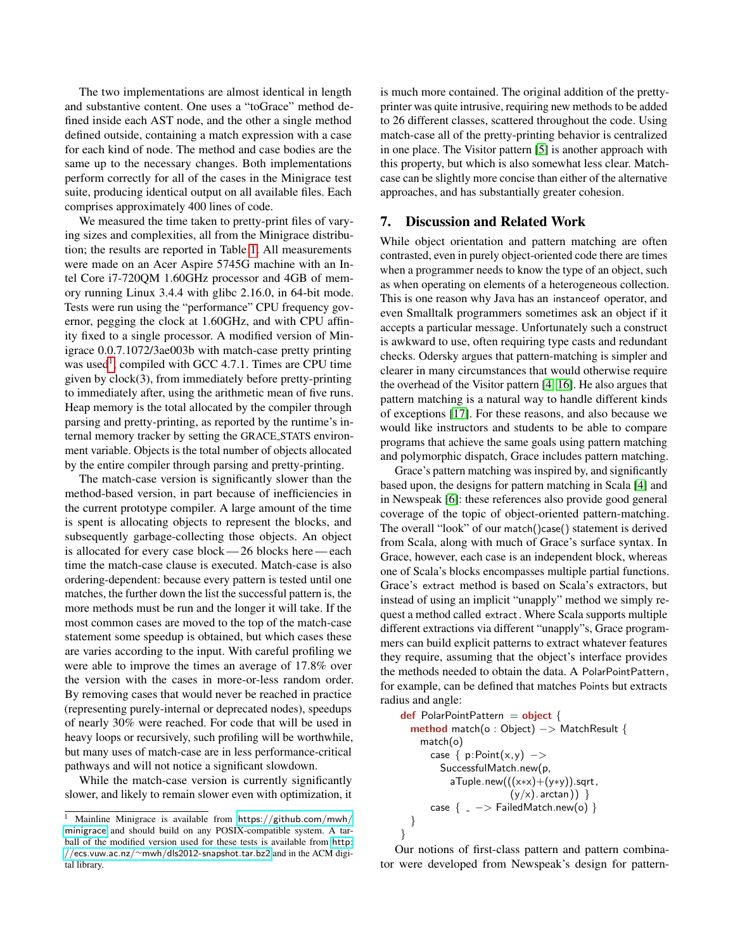The two implementations are almost identical in length and substantive content. One uses a "toGrace" method defined inside each AST node, and the other a single method defined outside, containing a match expression with a case for each kind of node. The method and case bodies are the same up to the necessary changes. Both implementations perform correctly for all of the cases in the Minigrace test suite, producing identical output on all available files. Each comprises approximately 400 lines of code.

We measured the time taken to pretty-print files of varying sizes and complexities, all from the Minigrace distribution; the results are reported in Table [1.](#page-9-0) All measurements were made on an Acer Aspire 5745G machine with an Intel Core i7-720QM 1.60GHz processor and 4GB of memory running Linux 3.4.4 with glibc 2.16.0, in 64-bit mode. Tests were run using the "performance" CPU frequency governor, pegging the clock at 1.60GHz, and with CPU affinity fixed to a single processor. A modified version of Minigrace 0.0.7.1072/3ae003b with match-case pretty printing was used<sup>[1](#page-8-1)</sup>, compiled with GCC 4.7.1. Times are CPU time given by clock(3), from immediately before pretty-printing to immediately after, using the arithmetic mean of five runs. Heap memory is the total allocated by the compiler through parsing and pretty-printing, as reported by the runtime's internal memory tracker by setting the GRACE STATS environment variable. Objects is the total number of objects allocated by the entire compiler through parsing and pretty-printing.

The match-case version is significantly slower than the method-based version, in part because of inefficiencies in the current prototype compiler. A large amount of the time is spent is allocating objects to represent the blocks, and subsequently garbage-collecting those objects. An object is allocated for every case block— 26 blocks here— each time the match-case clause is executed. Match-case is also ordering-dependent: because every pattern is tested until one matches, the further down the list the successful pattern is, the more methods must be run and the longer it will take. If the most common cases are moved to the top of the match-case statement some speedup is obtained, but which cases these are varies according to the input. With careful profiling we were able to improve the times an average of 17.8% over the version with the cases in more-or-less random order. By removing cases that would never be reached in practice (representing purely-internal or deprecated nodes), speedups of nearly 30% were reached. For code that will be used in heavy loops or recursively, such profiling will be worthwhile, but many uses of match-case are in less performance-critical pathways and will not notice a significant slowdown.

While the match-case version is currently significantly slower, and likely to remain slower even with optimization, it is much more contained. The original addition of the prettyprinter was quite intrusive, requiring new methods to be added to 26 different classes, scattered throughout the code. Using match-case all of the pretty-printing behavior is centralized in one place. The Visitor pattern [\[5\]](#page-11-11) is another approach with this property, but which is also somewhat less clear. Matchcase can be slightly more concise than either of the alternative approaches, and has substantially greater cohesion.

# <span id="page-8-0"></span>7. Discussion and Related Work

While object orientation and pattern matching are often contrasted, even in purely object-oriented code there are times when a programmer needs to know the type of an object, such as when operating on elements of a heterogeneous collection. This is one reason why Java has an instanceof operator, and even Smalltalk programmers sometimes ask an object if it accepts a particular message. Unfortunately such a construct is awkward to use, often requiring type casts and redundant checks. Odersky argues that pattern-matching is simpler and clearer in many circumstances that would otherwise require the overhead of the Visitor pattern [\[4,](#page-11-6) [16\]](#page-11-5). He also argues that pattern matching is a natural way to handle different kinds of exceptions [\[17\]](#page-11-12). For these reasons, and also because we would like instructors and students to be able to compare programs that achieve the same goals using pattern matching and polymorphic dispatch, Grace includes pattern matching.

Grace's pattern matching was inspired by, and significantly based upon, the designs for pattern matching in Scala [\[4\]](#page-11-6) and in Newspeak [\[6\]](#page-11-13): these references also provide good general coverage of the topic of object-oriented pattern-matching. The overall "look" of our match()case() statement is derived from Scala, along with much of Grace's surface syntax. In Grace, however, each case is an independent block, whereas one of Scala's blocks encompasses multiple partial functions. Grace's extract method is based on Scala's extractors, but instead of using an implicit "unapply" method we simply request a method called extract. Where Scala supports multiple different extractions via different "unapply"s, Grace programmers can build explicit patterns to extract whatever features they require, assuming that the object's interface provides the methods needed to obtain the data. A PolarPointPattern, for example, can be defined that matches Points but extracts radius and angle:

```
def PolarPointPattern = object {
  method match(o : Object) −> MatchResult {
    match(o)
       case \{ p:Point(x,y) \rightarrow \emptyset \}SuccessfulMatch.new(p,
           aTuple.new(((x*x)+(y*y)).sqrt,(y/x). arctan)) }
      case \{ --> \mathsf{FailedMatch.new}(o) \}}
}
```
Our notions of first-class pattern and pattern combinator were developed from Newspeak's design for pattern-

<span id="page-8-1"></span> $\overline{1}$  Mainline Minigrace is available from [https://github.com/mwh/](https://github.com/mwh/minigrace) [minigrace](https://github.com/mwh/minigrace) and should build on any POSIX-compatible system. A tarball of the modified version used for these tests is available from [http:](http://ecs.vuw.ac.nz/~mwh/dls2012-snapshot.tar.bz2) //ecs.vuw.ac.nz/∼[mwh/dls2012-snapshot.tar.bz2](http://ecs.vuw.ac.nz/~mwh/dls2012-snapshot.tar.bz2) and in the ACM digital library.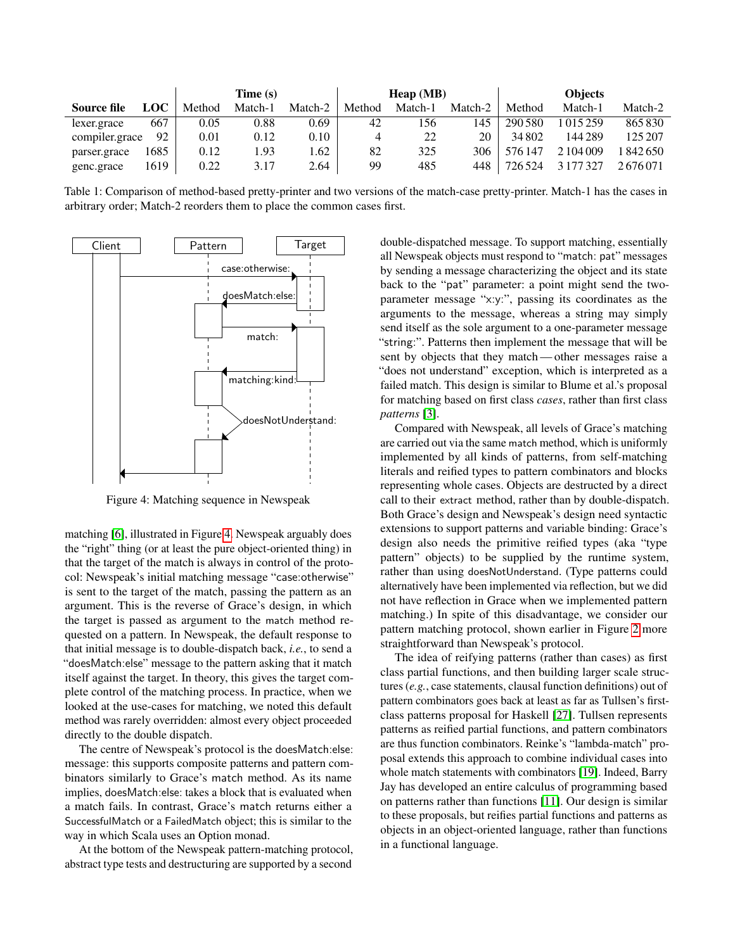|                |      | Time (s) |         |         | Heap(MB) |         |         | <b>Objects</b> |               |         |
|----------------|------|----------|---------|---------|----------|---------|---------|----------------|---------------|---------|
| Source file    | LOC  | Method   | Match-1 | Match-2 | Method   | Match-1 | Match-2 | Method         | Match-1       | Match-2 |
| lexer.grace    | 667  | 0.05     | 0.88    | 0.69    | 42       | l 56    | 145     | 290580         | 1 015 259     | 865830  |
| compiler.grace | 92   | 0.01     | 0.12    | 0.10    |          | 22      | 20      | 34 802         | 144 289       | 125 207 |
| parser.grace   | 1685 | 0.12     | .93     | .62     | 82       | 325     | 306     | 576147         | 2 104 009     | 842650  |
| genc.grace     | 1619 | 0.22     | 3.17    | 2.64    | 99       | 485     | 448     | 726.524        | 3 1 7 7 3 2 7 | 2676071 |

Table 1: Comparison of method-based pretty-printer and two versions of the match-case pretty-printer. Match-1 has the cases in arbitrary order; Match-2 reorders them to place the common cases first.



<span id="page-9-1"></span>Figure 4: Matching sequence in Newspeak

matching [\[6\]](#page-11-13), illustrated in Figure [4.](#page-9-1) Newspeak arguably does the "right" thing (or at least the pure object-oriented thing) in that the target of the match is always in control of the protocol: Newspeak's initial matching message "case:otherwise" is sent to the target of the match, passing the pattern as an argument. This is the reverse of Grace's design, in which the target is passed as argument to the match method requested on a pattern. In Newspeak, the default response to that initial message is to double-dispatch back, *i.e.*, to send a "doesMatch:else" message to the pattern asking that it match itself against the target. In theory, this gives the target complete control of the matching process. In practice, when we looked at the use-cases for matching, we noted this default method was rarely overridden: almost every object proceeded directly to the double dispatch.

The centre of Newspeak's protocol is the doesMatch:else: message: this supports composite patterns and pattern combinators similarly to Grace's match method. As its name implies, doesMatch:else: takes a block that is evaluated when a match fails. In contrast, Grace's match returns either a SuccessfulMatch or a FailedMatch object; this is similar to the way in which Scala uses an Option monad.

At the bottom of the Newspeak pattern-matching protocol, abstract type tests and destructuring are supported by a second

<span id="page-9-0"></span>double-dispatched message. To support matching, essentially all Newspeak objects must respond to "match: pat" messages by sending a message characterizing the object and its state back to the "pat" parameter: a point might send the twoparameter message "x:y:", passing its coordinates as the arguments to the message, whereas a string may simply send itself as the sole argument to a one-parameter message "string:". Patterns then implement the message that will be sent by objects that they match— other messages raise a "does not understand" exception, which is interpreted as a failed match. This design is similar to Blume et al.'s proposal for matching based on first class *cases*, rather than first class *patterns* [\[3\]](#page-11-14).

Compared with Newspeak, all levels of Grace's matching are carried out via the same match method, which is uniformly implemented by all kinds of patterns, from self-matching literals and reified types to pattern combinators and blocks representing whole cases. Objects are destructed by a direct call to their extract method, rather than by double-dispatch. Both Grace's design and Newspeak's design need syntactic extensions to support patterns and variable binding: Grace's design also needs the primitive reified types (aka "type pattern" objects) to be supplied by the runtime system, rather than using doesNotUnderstand. (Type patterns could alternatively have been implemented via reflection, but we did not have reflection in Grace when we implemented pattern matching.) In spite of this disadvantage, we consider our pattern matching protocol, shown earlier in Figure [2](#page-5-0) more straightforward than Newspeak's protocol.

The idea of reifying patterns (rather than cases) as first class partial functions, and then building larger scale structures (*e.g.*, case statements, clausal function definitions) out of pattern combinators goes back at least as far as Tullsen's firstclass patterns proposal for Haskell [\[27\]](#page-11-15). Tullsen represents patterns as reified partial functions, and pattern combinators are thus function combinators. Reinke's "lambda-match" proposal extends this approach to combine individual cases into whole match statements with combinators [\[19\]](#page-11-16). Indeed, Barry Jay has developed an entire calculus of programming based on patterns rather than functions [\[11\]](#page-11-17). Our design is similar to these proposals, but reifies partial functions and patterns as objects in an object-oriented language, rather than functions in a functional language.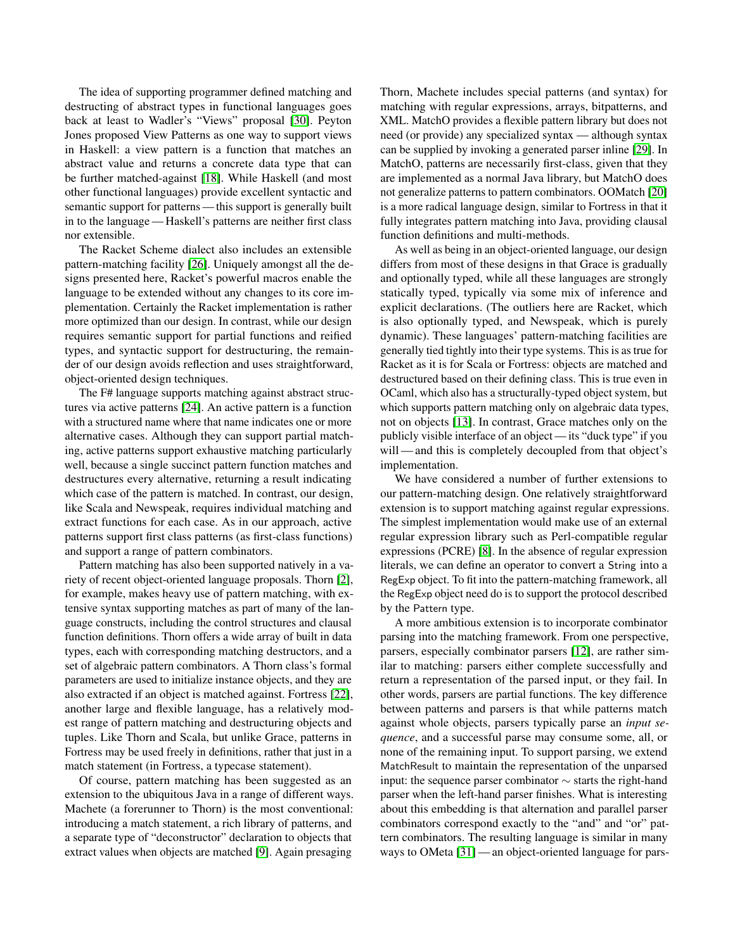The idea of supporting programmer defined matching and destructing of abstract types in functional languages goes back at least to Wadler's "Views" proposal [\[30\]](#page-11-18). Peyton Jones proposed View Patterns as one way to support views in Haskell: a view pattern is a function that matches an abstract value and returns a concrete data type that can be further matched-against [\[18\]](#page-11-19). While Haskell (and most other functional languages) provide excellent syntactic and semantic support for patterns — this support is generally built in to the language — Haskell's patterns are neither first class nor extensible.

The Racket Scheme dialect also includes an extensible pattern-matching facility [\[26\]](#page-11-20). Uniquely amongst all the designs presented here, Racket's powerful macros enable the language to be extended without any changes to its core implementation. Certainly the Racket implementation is rather more optimized than our design. In contrast, while our design requires semantic support for partial functions and reified types, and syntactic support for destructuring, the remainder of our design avoids reflection and uses straightforward, object-oriented design techniques.

The F# language supports matching against abstract structures via active patterns [\[24\]](#page-11-21). An active pattern is a function with a structured name where that name indicates one or more alternative cases. Although they can support partial matching, active patterns support exhaustive matching particularly well, because a single succinct pattern function matches and destructures every alternative, returning a result indicating which case of the pattern is matched. In contrast, our design, like Scala and Newspeak, requires individual matching and extract functions for each case. As in our approach, active patterns support first class patterns (as first-class functions) and support a range of pattern combinators.

Pattern matching has also been supported natively in a variety of recent object-oriented language proposals. Thorn [\[2\]](#page-11-22), for example, makes heavy use of pattern matching, with extensive syntax supporting matches as part of many of the language constructs, including the control structures and clausal function definitions. Thorn offers a wide array of built in data types, each with corresponding matching destructors, and a set of algebraic pattern combinators. A Thorn class's formal parameters are used to initialize instance objects, and they are also extracted if an object is matched against. Fortress [\[22\]](#page-11-23), another large and flexible language, has a relatively modest range of pattern matching and destructuring objects and tuples. Like Thorn and Scala, but unlike Grace, patterns in Fortress may be used freely in definitions, rather that just in a match statement (in Fortress, a typecase statement).

Of course, pattern matching has been suggested as an extension to the ubiquitous Java in a range of different ways. Machete (a forerunner to Thorn) is the most conventional: introducing a match statement, a rich library of patterns, and a separate type of "deconstructor" declaration to objects that extract values when objects are matched [\[9\]](#page-11-7). Again presaging

Thorn, Machete includes special patterns (and syntax) for matching with regular expressions, arrays, bitpatterns, and XML. MatchO provides a flexible pattern library but does not need (or provide) any specialized syntax — although syntax can be supplied by invoking a generated parser inline [\[29\]](#page-11-24). In MatchO, patterns are necessarily first-class, given that they are implemented as a normal Java library, but MatchO does not generalize patterns to pattern combinators. OOMatch [\[20\]](#page-11-25) is a more radical language design, similar to Fortress in that it fully integrates pattern matching into Java, providing clausal function definitions and multi-methods.

As well as being in an object-oriented language, our design differs from most of these designs in that Grace is gradually and optionally typed, while all these languages are strongly statically typed, typically via some mix of inference and explicit declarations. (The outliers here are Racket, which is also optionally typed, and Newspeak, which is purely dynamic). These languages' pattern-matching facilities are generally tied tightly into their type systems. This is as true for Racket as it is for Scala or Fortress: objects are matched and destructured based on their defining class. This is true even in OCaml, which also has a structurally-typed object system, but which supports pattern matching only on algebraic data types, not on objects [\[13\]](#page-11-26). In contrast, Grace matches only on the publicly visible interface of an object — its "duck type" if you will—and this is completely decoupled from that object's implementation.

We have considered a number of further extensions to our pattern-matching design. One relatively straightforward extension is to support matching against regular expressions. The simplest implementation would make use of an external regular expression library such as Perl-compatible regular expressions (PCRE) [\[8\]](#page-11-27). In the absence of regular expression literals, we can define an operator to convert a String into a RegExp object. To fit into the pattern-matching framework, all the RegExp object need do is to support the protocol described by the Pattern type.

A more ambitious extension is to incorporate combinator parsing into the matching framework. From one perspective, parsers, especially combinator parsers [\[12\]](#page-11-28), are rather similar to matching: parsers either complete successfully and return a representation of the parsed input, or they fail. In other words, parsers are partial functions. The key difference between patterns and parsers is that while patterns match against whole objects, parsers typically parse an *input sequence*, and a successful parse may consume some, all, or none of the remaining input. To support parsing, we extend MatchResult to maintain the representation of the unparsed input: the sequence parser combinator ∼ starts the right-hand parser when the left-hand parser finishes. What is interesting about this embedding is that alternation and parallel parser combinators correspond exactly to the "and" and "or" pattern combinators. The resulting language is similar in many ways to OMeta [\[31\]](#page-11-29) — an object-oriented language for pars